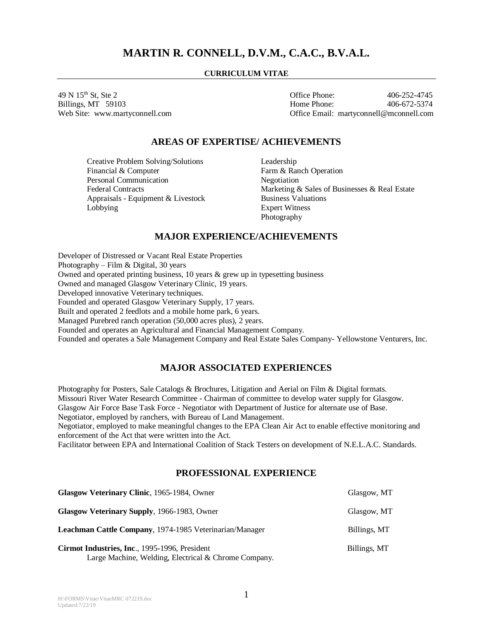# **MARTIN R. CONNELL, D.V.M., C.A.C., B.V.A.L.**

## **CURRICULUM VITAE**

49 N 15th St, Ste 2 Office Phone: 406-252-4745 Billings, MT 59103 **Home Phone:** 406-672-5374 Web Site: www.martyconnell.com Office Email: martyconnell@mconnell.com

## **AREAS OF EXPERTISE/ ACHIEVEMENTS**

Creative Problem Solving/Solutions Leadership<br>
Financial & Computer Farm & Rar Personal Communication Negotiation Appraisals - Equipment & Livestock Business Valuations Lobbying Expert Witness

Farm & Ranch Operation Federal Contracts Marketing & Sales of Businesses & Real Estate Photography

## **MAJOR EXPERIENCE/ACHIEVEMENTS**

Developer of Distressed or Vacant Real Estate Properties Photography – Film & Digital, 30 years Owned and operated printing business,  $10$  years  $\&$  grew up in typesetting business Owned and managed Glasgow Veterinary Clinic, 19 years. Developed innovative Veterinary techniques. Founded and operated Glasgow Veterinary Supply, 17 years. Built and operated 2 feedlots and a mobile home park, 6 years. Managed Purebred ranch operation (50,000 acres plus), 2 years. Founded and operates an Agricultural and Financial Management Company. Founded and operates a Sale Management Company and Real Estate Sales Company- Yellowstone Venturers, Inc.

## **MAJOR ASSOCIATED EXPERIENCES**

Photography for Posters, Sale Catalogs & Brochures, Litigation and Aerial on Film & Digital formats. Missouri River Water Research Committee - Chairman of committee to develop water supply for Glasgow. Glasgow Air Force Base Task Force - Negotiator with Department of Justice for alternate use of Base. Negotiator, employed by ranchers, with Bureau of Land Management.

Negotiator, employed to make meaningful changes to the EPA Clean Air Act to enable effective monitoring and enforcement of the Act that were written into the Act.

Facilitator between EPA and International Coalition of Stack Testers on development of N.E.L.A.C. Standards.

## **PROFESSIONAL EXPERIENCE**

| Glasgow Veterinary Clinic, 1965-1984, Owner                                                           | Glasgow, MT  |
|-------------------------------------------------------------------------------------------------------|--------------|
| Glasgow Veterinary Supply, 1966-1983, Owner                                                           | Glasgow, MT  |
| <b>Leachman Cattle Company, 1974-1985 Veterinarian/Manager</b>                                        | Billings, MT |
| Cirmot Industries, Inc., 1995-1996, President<br>Large Machine, Welding, Electrical & Chrome Company. | Billings, MT |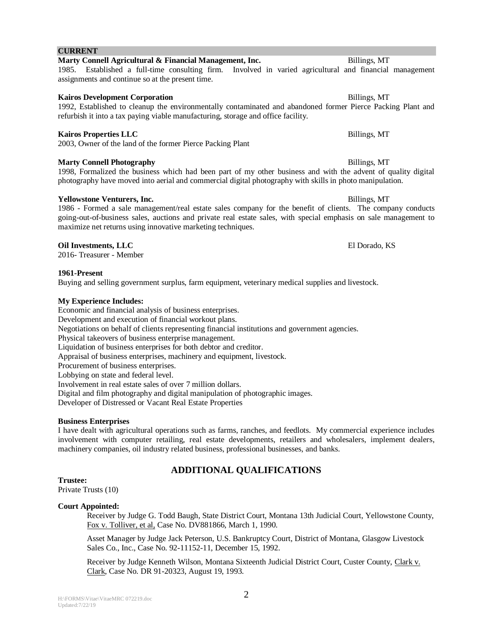## **CURRENT**

assignments and continue so at the present time.

**Kairos Development Corporation** Billings, MT 1992, Established to cleanup the environmentally contaminated and abandoned former Pierce Packing Plant and refurbish it into a tax paying viable manufacturing, storage and office facility.

1985. Established a full-time consulting firm. Involved in varied agricultural and financial management

**Marty Connell Agricultural & Financial Management, Inc.** Billings, MT

## **Kairos Properties LLC** Billings, MT

2003, Owner of the land of the former Pierce Packing Plant

## **Marty Connell Photography Billings, MT**

1998, Formalized the business which had been part of my other business and with the advent of quality digital photography have moved into aerial and commercial digital photography with skills in photo manipulation.

## **Yellowstone Venturers, Inc.** Billings, MT

1986 - Formed a sale management/real estate sales company for the benefit of clients. The company conducts going-out-of-business sales, auctions and private real estate sales, with special emphasis on sale management to maximize net returns using innovative marketing techniques.

## **Oil Investments, LLC** El Dorado, KS

2016- Treasurer - Member

## **1961-Present**

Buying and selling government surplus, farm equipment, veterinary medical supplies and livestock.

## **My Experience Includes:**

Economic and financial analysis of business enterprises. Development and execution of financial workout plans. Negotiations on behalf of clients representing financial institutions and government agencies. Physical takeovers of business enterprise management. Liquidation of business enterprises for both debtor and creditor. Appraisal of business enterprises, machinery and equipment, livestock. Procurement of business enterprises. Lobbying on state and federal level. Involvement in real estate sales of over 7 million dollars. Digital and film photography and digital manipulation of photographic images. Developer of Distressed or Vacant Real Estate Properties

## **Business Enterprises**

I have dealt with agricultural operations such as farms, ranches, and feedlots. My commercial experience includes involvement with computer retailing, real estate developments, retailers and wholesalers, implement dealers, machinery companies, oil industry related business, professional businesses, and banks.

## **ADDITIONAL QUALIFICATIONS**

## **Trustee:**

Private Trusts (10)

## **Court Appointed:**

Receiver by Judge G. Todd Baugh, State District Court, Montana 13th Judicial Court, Yellowstone County, Fox v. Tolliver, et al, Case No. DV881866, March 1, 1990.

Asset Manager by Judge Jack Peterson, U.S. Bankruptcy Court, District of Montana, Glasgow Livestock Sales Co., Inc., Case No. 92-11152-11, December 15, 1992.

Receiver by Judge Kenneth Wilson, Montana Sixteenth Judicial District Court, Custer County, Clark v. Clark, Case No. DR 91-20323, August 19, 1993.

2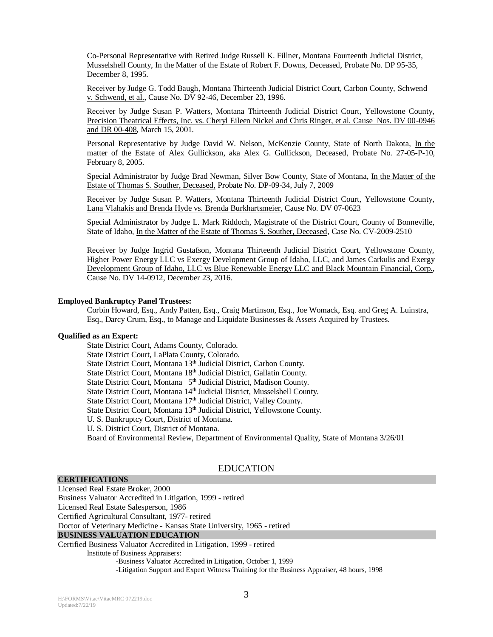Co-Personal Representative with Retired Judge Russell K. Fillner, Montana Fourteenth Judicial District, Musselshell County, In the Matter of the Estate of Robert F. Downs, Deceased, Probate No. DP 95-35, December 8, 1995.

Receiver by Judge G. Todd Baugh, Montana Thirteenth Judicial District Court, Carbon County, Schwend v. Schwend, et al., Cause No. DV 92-46, December 23, 1996.

Receiver by Judge Susan P. Watters, Montana Thirteenth Judicial District Court, Yellowstone County, Precision Theatrical Effects, Inc. vs. Cheryl Eileen Nickel and Chris Ringer, et al, Cause Nos. DV 00-0946 and DR 00-408, March 15, 2001.

Personal Representative by Judge David W. Nelson, McKenzie County, State of North Dakota, In the matter of the Estate of Alex Gullickson, aka Alex G. Gullickson, Deceased, Probate No. 27-05-P-10, February 8, 2005.

Special Administrator by Judge Brad Newman, Silver Bow County, State of Montana, In the Matter of the Estate of Thomas S. Souther, Deceased, Probate No. DP-09-34, July 7, 2009

Receiver by Judge Susan P. Watters, Montana Thirteenth Judicial District Court, Yellowstone County, Lana Vlahakis and Brenda Hyde vs. Brenda Burkhartsmeier, Cause No. DV 07-0623

Special Administrator by Judge L. Mark Riddoch, Magistrate of the District Court, County of Bonneville, State of Idaho, In the Matter of the Estate of Thomas S. Souther, Deceased, Case No. CV-2009-2510

Receiver by Judge Ingrid Gustafson, Montana Thirteenth Judicial District Court, Yellowstone County, Higher Power Energy LLC vs Exergy Development Group of Idaho, LLC, and James Carkulis and Exergy Development Group of Idaho, LLC vs Blue Renewable Energy LLC and Black Mountain Financial, Corp., Cause No. DV 14-0912, December 23, 2016.

#### **Employed Bankruptcy Panel Trustees:**

Corbin Howard, Esq., Andy Patten, Esq., Craig Martinson, Esq., Joe Womack, Esq. and Greg A. Luinstra, Esq., Darcy Crum, Esq., to Manage and Liquidate Businesses & Assets Acquired by Trustees.

#### **Qualified as an Expert:**

State District Court, Adams County, Colorado. State District Court, LaPlata County, Colorado. State District Court, Montana 13<sup>th</sup> Judicial District, Carbon County. State District Court, Montana 18<sup>th</sup> Judicial District, Gallatin County. State District Court, Montana 5<sup>th</sup> Judicial District, Madison County. State District Court, Montana 14<sup>th</sup> Judicial District, Musselshell County. State District Court, Montana 17<sup>th</sup> Judicial District, Valley County. State District Court, Montana 13<sup>th</sup> Judicial District, Yellowstone County. U. S. Bankruptcy Court, District of Montana. U. S. District Court, District of Montana. Board of Environmental Review, Department of Environmental Quality, State of Montana 3/26/01

## EDUCATION

#### **CERTIFICATIONS**

Licensed Real Estate Broker, 2000 Business Valuator Accredited in Litigation, 1999 - retired Licensed Real Estate Salesperson, 1986 Certified Agricultural Consultant, 1977- retired Doctor of Veterinary Medicine - Kansas State University, 1965 - retired **BUSINESS VALUATION EDUCATION** Certified Business Valuator Accredited in Litigation, 1999 - retired

#### Institute of Business Appraisers:

-Business Valuator Accredited in Litigation, October 1, 1999 -Litigation Support and Expert Witness Training for the Business Appraiser, 48 hours, 1998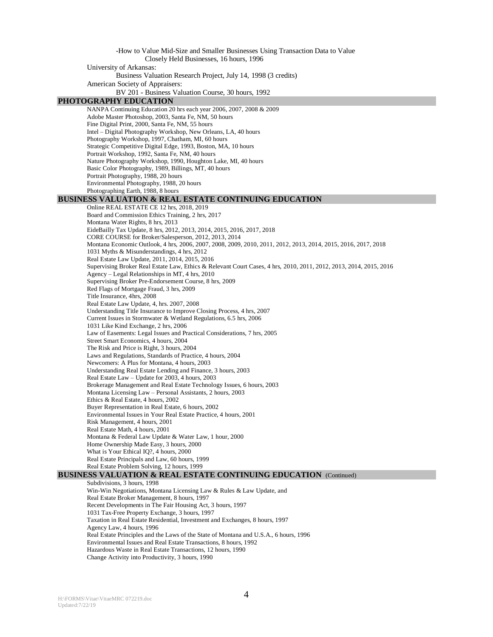-How to Value Mid-Size and Smaller Businesses Using Transaction Data to Value Closely Held Businesses, 16 hours, 1996 University of Arkansas: Business Valuation Research Project, July 14, 1998 (3 credits) American Society of Appraisers: BV 201 - Business Valuation Course, 30 hours, 1992 **PHOTOGRAPHY EDUCATION** NANPA Continuing Education 20 hrs each year 2006, 2007, 2008 & 2009 Adobe Master Photoshop, 2003, Santa Fe, NM, 50 hours Fine Digital Print, 2000, Santa Fe, NM, 55 hours Intel – Digital Photography Workshop, New Orleans, LA, 40 hours Photography Workshop, 1997, Chatham, MI, 60 hours Strategic Competitive Digital Edge, 1993, Boston, MA, 10 hours Portrait Workshop, 1992, Santa Fe, NM, 40 hours Nature Photography Workshop, 1990, Houghton Lake, MI, 40 hours Basic Color Photography, 1989, Billings, MT, 40 hours Portrait Photography, 1988, 20 hours Environmental Photography, 1988, 20 hours Photographing Earth, 1988, 8 hours **BUSINESS VALUATION & REAL ESTATE CONTINUING EDUCATION**  Online REAL ESTATE CE 12 hrs, 2018, 2019 Board and Commission Ethics Training, 2 hrs, 2017 Montana Water Rights, 8 hrs, 2013 EideBailly Tax Update, 8 hrs, 2012, 2013, 2014, 2015, 2016, 2017, 2018 CORE COURSE for Broker/Salesperson, 2012, 2013, 2014 Montana Economic Outlook, 4 hrs, 2006, 2007, 2008, 2009, 2010, 2011, 2012, 2013, 2014, 2015, 2016, 2017, 2018 1031 Myths & Misunderstandings, 4 hrs, 2012 Real Estate Law Update, 2011, 2014, 2015, 2016 Supervising Broker Real Estate Law, Ethics & Relevant Court Cases, 4 hrs, 2010, 2011, 2012, 2013, 2014, 2015, 2016 Agency – Legal Relationships in MT, 4 hrs, 2010 Supervising Broker Pre-Endorsement Course, 8 hrs, 2009 Red Flags of Mortgage Fraud, 3 hrs, 2009 Title Insurance, 4hrs, 2008 Real Estate Law Update, 4, hrs. 2007, 2008 Understanding Title Insurance to Improve Closing Process, 4 hrs, 2007 Current Issues in Stormwater & Wetland Regulations, 6.5 hrs, 2006 1031 Like Kind Exchange, 2 hrs, 2006 Law of Easements: Legal Issues and Practical Considerations, 7 hrs, 2005 Street Smart Economics, 4 hours, 2004 The Risk and Price is Right, 3 hours, 2004 Laws and Regulations, Standards of Practice, 4 hours, 2004 Newcomers: A Plus for Montana, 4 hours, 2003 Understanding Real Estate Lending and Finance, 3 hours, 2003 Real Estate Law – Update for 2003, 4 hours, 2003 Brokerage Management and Real Estate Technology Issues, 6 hours, 2003 Montana Licensing Law – Personal Assistants, 2 hours, 2003 Ethics & Real Estate, 4 hours, 2002 Buyer Representation in Real Estate, 6 hours, 2002 Environmental Issues in Your Real Estate Practice, 4 hours, 2001 Risk Management, 4 hours, 2001 Real Estate Math, 4 hours, 2001 Montana & Federal Law Update & Water Law, 1 hour, 2000 Home Ownership Made Easy, 3 hours, 2000 What is Your Ethical IQ?, 4 hours, 2000 Real Estate Principals and Law, 60 hours, 1999 Real Estate Problem Solving, 12 hours, 1999 **BUSINESS VALUATION & REAL ESTATE CONTINUING EDUCATION** (Continued) Subdivisions, 3 hours, 1998 Win-Win Negotiations, Montana Licensing Law & Rules & Law Update, and Real Estate Broker Management, 8 hours, 1997 Recent Developments in The Fair Housing Act, 3 hours, 1997 1031 Tax-Free Property Exchange, 3 hours, 1997 Taxation in Real Estate Residential, Investment and Exchanges, 8 hours, 1997 Agency Law, 4 hours, 1996

Real Estate Principles and the Laws of the State of Montana and U.S.A., 6 hours, 1996

- Environmental Issues and Real Estate Transactions, 8 hours, 1992
- Hazardous Waste in Real Estate Transactions, 12 hours, 1990
- Change Activity into Productivity, 3 hours, 1990